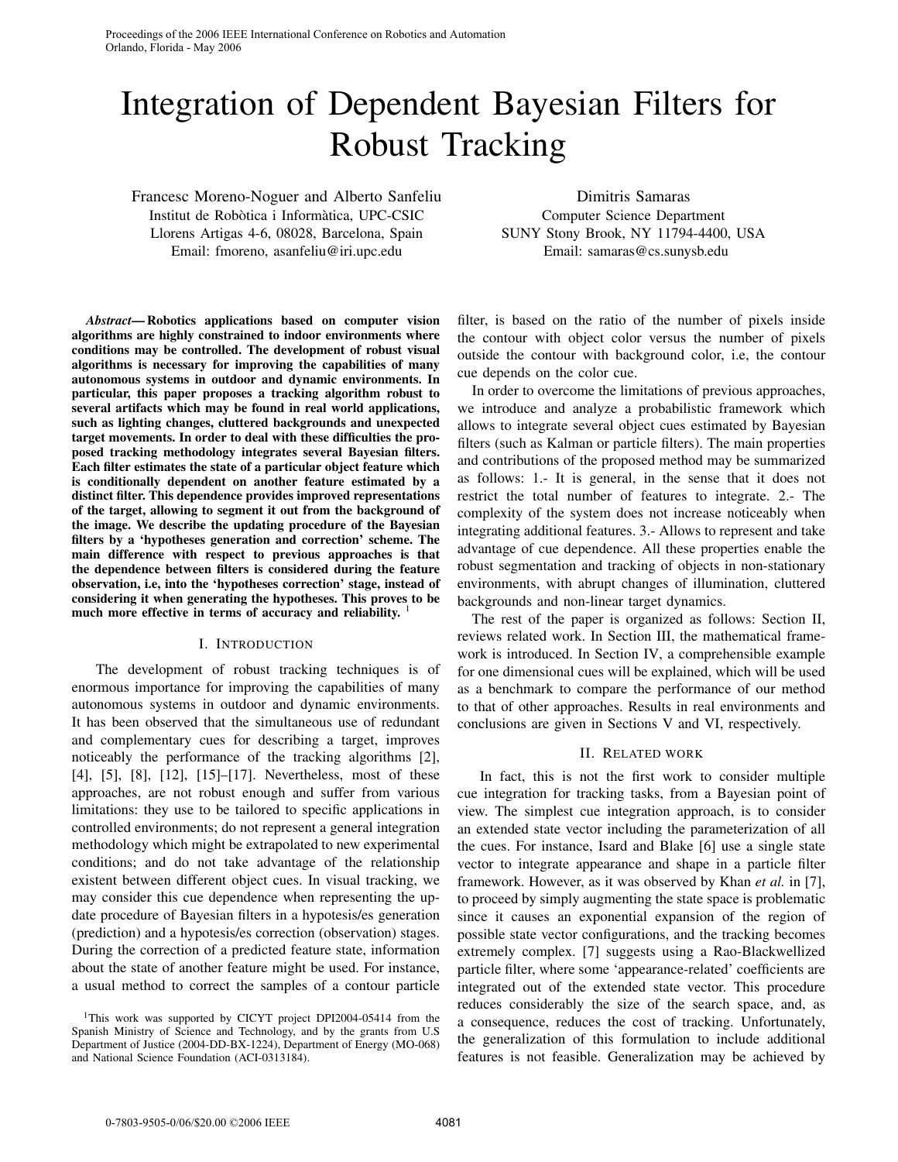Proceedings of the 2006 IEEE International Conference on Robotics and Automation Orlando, Florida - May 2006

# Integration of Dependent Bayesian Filters for Robust Tracking

Francesc Moreno-Noguer and Alberto Sanfeliu Institut de Robòtica i Informàtica, UPC-CSIC Llorens Artigas 4-6, 08028, Barcelona, Spain Email: fmoreno, asanfeliu@iri.upc.edu

Dimitris Samaras Computer Science Department SUNY Stony Brook, NY 11794-4400, USA Email: samaras@cs.sunysb.edu

*Abstract***— Robotics applications based on computer vision algorithms are highly constrained to indoor environments where conditions may be controlled. The development of robust visual algorithms is necessary for improving the capabilities of many autonomous systems in outdoor and dynamic environments. In particular, this paper proposes a tracking algorithm robust to several artifacts which may be found in real world applications, such as lighting changes, cluttered backgrounds and unexpected target movements. In order to deal with these difficulties the proposed tracking methodology integrates several Bayesian filters. Each filter estimates the state of a particular object feature which is conditionally dependent on another feature estimated by a distinct filter. This dependence provides improved representations of the target, allowing to segment it out from the background of the image. We describe the updating procedure of the Bayesian filters by a 'hypotheses generation and correction' scheme. The main difference with respect to previous approaches is that the dependence between filters is considered during the feature observation, i.e, into the 'hypotheses correction' stage, instead of considering it when generating the hypotheses. This proves to be much more effective in terms of accuracy and reliability.** <sup>1</sup>

# I. INTRODUCTION

The development of robust tracking techniques is of enormous importance for improving the capabilities of many autonomous systems in outdoor and dynamic environments. It has been observed that the simultaneous use of redundant and complementary cues for describing a target, improves noticeably the performance of the tracking algorithms [2], [4], [5], [8], [12], [15]–[17]. Nevertheless, most of these approaches, are not robust enough and suffer from various limitations: they use to be tailored to specific applications in controlled environments; do not represent a general integration methodology which might be extrapolated to new experimental conditions; and do not take advantage of the relationship existent between different object cues. In visual tracking, we may consider this cue dependence when representing the update procedure of Bayesian filters in a hypotesis/es generation (prediction) and a hypotesis/es correction (observation) stages. During the correction of a predicted feature state, information about the state of another feature might be used. For instance, a usual method to correct the samples of a contour particle

filter, is based on the ratio of the number of pixels inside the contour with object color versus the number of pixels outside the contour with background color, i.e, the contour cue depends on the color cue.

In order to overcome the limitations of previous approaches, we introduce and analyze a probabilistic framework which allows to integrate several object cues estimated by Bayesian filters (such as Kalman or particle filters). The main properties and contributions of the proposed method may be summarized as follows: 1.- It is general, in the sense that it does not restrict the total number of features to integrate. 2.- The complexity of the system does not increase noticeably when integrating additional features. 3.- Allows to represent and take advantage of cue dependence. All these properties enable the robust segmentation and tracking of objects in non-stationary environments, with abrupt changes of illumination, cluttered backgrounds and non-linear target dynamics.

The rest of the paper is organized as follows: Section II, reviews related work. In Section III, the mathematical framework is introduced. In Section IV, a comprehensible example for one dimensional cues will be explained, which will be used as a benchmark to compare the performance of our method to that of other approaches. Results in real environments and conclusions are given in Sections V and VI, respectively.

#### II. RELATED WORK

In fact, this is not the first work to consider multiple cue integration for tracking tasks, from a Bayesian point of view. The simplest cue integration approach, is to consider an extended state vector including the parameterization of all the cues. For instance, Isard and Blake [6] use a single state vector to integrate appearance and shape in a particle filter framework. However, as it was observed by Khan *et al.* in [7], to proceed by simply augmenting the state space is problematic since it causes an exponential expansion of the region of possible state vector configurations, and the tracking becomes extremely complex. [7] suggests using a Rao-Blackwellized particle filter, where some 'appearance-related' coefficients are integrated out of the extended state vector. This procedure reduces considerably the size of the search space, and, as a consequence, reduces the cost of tracking. Unfortunately, the generalization of this formulation to include additional features is not feasible. Generalization may be achieved by

<sup>&</sup>lt;sup>1</sup>This work was supported by CICYT project DPI2004-05414 from the Spanish Ministry of Science and Technology, and by the grants from U.S Department of Justice (2004-DD-BX-1224), Department of Energy (MO-068) and National Science Foundation (ACI-0313184).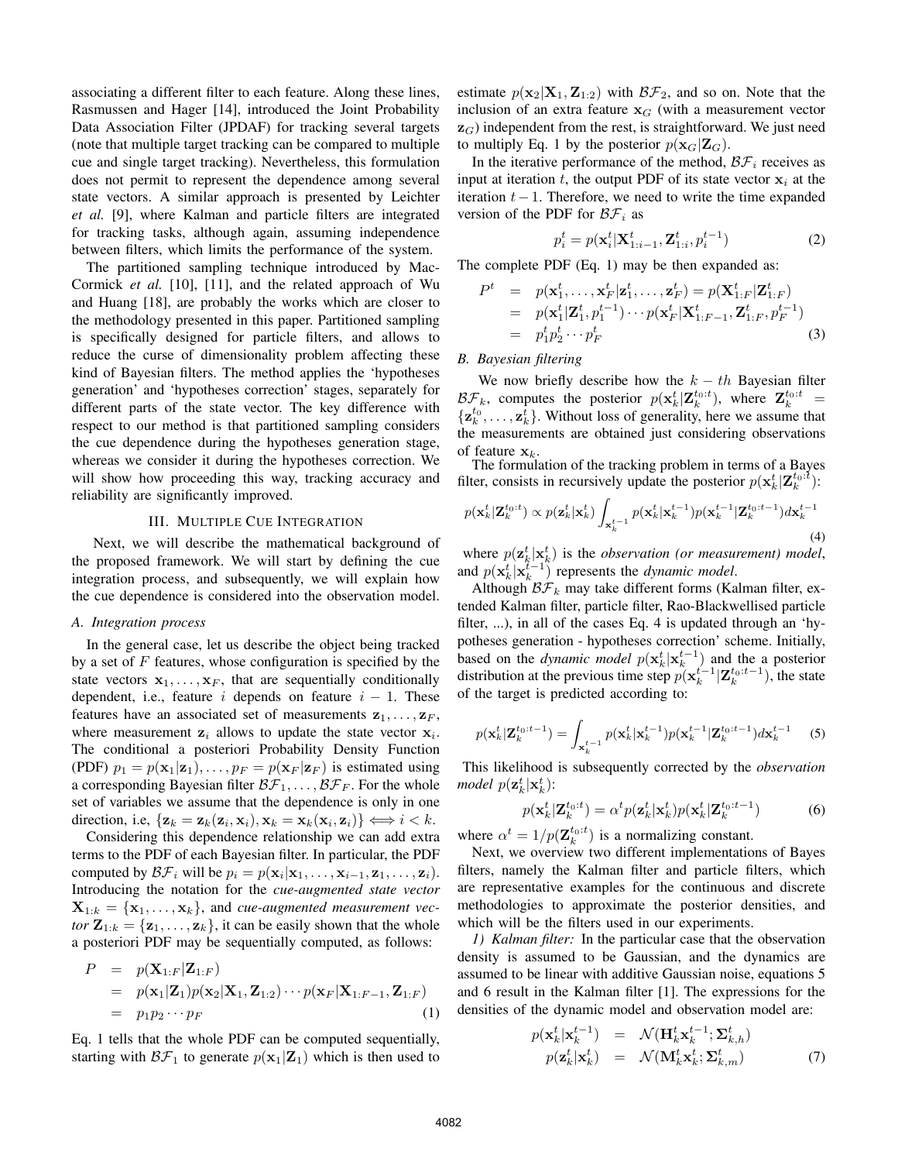associating a different filter to each feature. Along these lines, Rasmussen and Hager [14], introduced the Joint Probability Data Association Filter (JPDAF) for tracking several targets (note that multiple target tracking can be compared to multiple cue and single target tracking). Nevertheless, this formulation does not permit to represent the dependence among several state vectors. A similar approach is presented by Leichter *et al.* [9], where Kalman and particle filters are integrated for tracking tasks, although again, assuming independence between filters, which limits the performance of the system.

The partitioned sampling technique introduced by Mac-Cormick *et al.* [10], [11], and the related approach of Wu and Huang [18], are probably the works which are closer to the methodology presented in this paper. Partitioned sampling is specifically designed for particle filters, and allows to reduce the curse of dimensionality problem affecting these kind of Bayesian filters. The method applies the 'hypotheses generation' and 'hypotheses correction' stages, separately for different parts of the state vector. The key difference with respect to our method is that partitioned sampling considers the cue dependence during the hypotheses generation stage, whereas we consider it during the hypotheses correction. We will show how proceeding this way, tracking accuracy and reliability are significantly improved.

#### III. MULTIPLE CUE INTEGRATION

Next, we will describe the mathematical background of the proposed framework. We will start by defining the cue integration process, and subsequently, we will explain how the cue dependence is considered into the observation model.

## *A. Integration process*

In the general case, let us describe the object being tracked by a set of  $F$  features, whose configuration is specified by the state vectors  $x_1, \ldots, x_F$ , that are sequentially conditionally dependent, i.e., feature i depends on feature  $i - 1$ . These features have an associated set of measurements  $z_1, \ldots, z_F$ , where measurement  $z_i$  allows to update the state vector  $x_i$ . The conditional a posteriori Probability Density Function (PDF)  $p_1 = p(\mathbf{x}_1 | \mathbf{z}_1), \ldots, p_F = p(\mathbf{x}_F | \mathbf{z}_F)$  is estimated using a corresponding Bayesian filter  $\mathcal{BF}_1,\ldots,\mathcal{BF}_F$ . For the whole set of variables we assume that the dependence is only in one direction, i.e,  $\{z_k = z_k(z_i, x_i), x_k = x_k(x_i, z_i)\} \Longleftrightarrow i < k$ .

Considering this dependence relationship we can add extra terms to the PDF of each Bayesian filter. In particular, the PDF computed by  $\mathcal{BF}_i$  will be  $p_i = p(\mathbf{x}_i | \mathbf{x}_1, \dots, \mathbf{x}_{i-1}, \mathbf{z}_1, \dots, \mathbf{z}_i).$ Introducing the notation for the *cue-augmented state vector*  $\mathbf{X}_{1:k} = {\mathbf{x}_1, \dots, \mathbf{x}_k}$ , and *cue-augmented measurement vector*  $\mathbf{Z}_{1:k} = {\mathbf{z}_1, \dots, \mathbf{z}_k}$ , it can be easily shown that the whole a posteriori PDF may be sequentially computed, as follows:

$$
P = p(\mathbf{X}_{1:F}|\mathbf{Z}_{1:F})
$$
  
=  $p(\mathbf{x}_1|\mathbf{Z}_1)p(\mathbf{x}_2|\mathbf{X}_1,\mathbf{Z}_{1:2})\cdots p(\mathbf{x}_F|\mathbf{X}_{1:F-1},\mathbf{Z}_{1:F})$   
=  $p_1p_2\cdots p_F$  (1)

Eq. 1 tells that the whole PDF can be computed sequentially, starting with  $\mathcal{BF}_1$  to generate  $p(\mathbf{x}_1|\mathbf{Z}_1)$  which is then used to estimate  $p(\mathbf{x}_2|\mathbf{X}_1, \mathbf{Z}_{1:2})$  with  $\mathcal{BF}_2$ , and so on. Note that the inclusion of an extra feature  $\mathbf{x}_G$  (with a measurement vector  $\mathbf{z}_G$ ) independent from the rest, is straightforward. We just need to multiply Eq. 1 by the posterior  $p(\mathbf{x}_G|\mathbf{Z}_G)$ .

In the iterative performance of the method,  $\mathcal{BF}_i$  receives as input at iteration t, the output PDF of its state vector  $x_i$  at the iteration  $t-1$ . Therefore, we need to write the time expanded version of the PDF for  $\mathcal{BF}_i$  as

$$
p_i^t = p(\mathbf{x}_i^t | \mathbf{X}_{1:i-1}^t, \mathbf{Z}_{1:i}^t, p_i^{t-1})
$$
\n(2)

The complete PDF (Eq. 1) may be then expanded as:

$$
Pt = p(\mathbf{x}_1^t, \dots, \mathbf{x}_F^t | \mathbf{z}_1^t, \dots, \mathbf{z}_F^t) = p(\mathbf{X}_{1:F}^t | \mathbf{Z}_{1:F}^t)
$$
  
=  $p(\mathbf{x}_1^t | \mathbf{Z}_1^t, p_1^{t-1}) \cdots p(\mathbf{x}_F^t | \mathbf{X}_{1:F-1}^t, \mathbf{Z}_{1:F}^t, p_F^{t-1})$   
=  $p_1^t p_2^t \cdots p_F^t$  (3)

*B. Bayesian filtering*

We now briefly describe how the  $k - th$  Bayesian filter  $\mathcal{BF}_k$ , computes the posterior  $p(\mathbf{x}_k^t | \mathbf{Z}_k^{t_0:t})$ , where  $\mathbf{Z}_k^{t_0:t}$  =  $\{z_k^{t_0}, \ldots, z_k^{t}\}$ . Without loss of generality, here we assume that the measurements are obtained just considering observations of feature  $x_k$ .<br>The formulation of the tracking problem in terms of a Bayes

filter, consists in recursively update the posterior  $p(\mathbf{x}_k^t | \mathbf{Z}_k^{t_0:t})$ :

$$
p(\mathbf{x}_k^t|\mathbf{Z}_k^{t_0:t}) \propto p(\mathbf{z}_k^t|\mathbf{x}_k^t) \int_{\mathbf{x}_k^{t-1}} p(\mathbf{x}_k^t|\mathbf{x}_k^{t-1}) p(\mathbf{x}_k^{t-1}|\mathbf{Z}_k^{t_0:t-1}) d\mathbf{x}_k^{t-1}
$$
\n(4)

where  $p(\mathbf{z}_k^t | \mathbf{x}_k^t)$  is the *observation (or measurement) model*, and  $p(\mathbf{x}_k^t | \mathbf{x}_k^{t-1})$  represents the *dynamic model*.

Although  $\mathcal{BF}_k$  may take different forms (Kalman filter, extended Kalman filter, particle filter, Rao-Blackwellised particle filter, ...), in all of the cases Eq. 4 is updated through an 'hypotheses generation - hypotheses correction' scheme. Initially, based on the *dynamic model*  $p(\mathbf{x}_k^t | \mathbf{x}_k^{t-1})$  and the a posterior distribution at the previous time step  $p(\mathbf{x}_k^{t-1}|\mathbf{Z}_k^{t_0:t-1})$ , the state of the target is predicted according to:

$$
p(\mathbf{x}_{k}^{t}|\mathbf{Z}_{k}^{t_{0}:t-1}) = \int_{\mathbf{x}_{k}^{t-1}} p(\mathbf{x}_{k}^{t}|\mathbf{x}_{k}^{t-1}) p(\mathbf{x}_{k}^{t-1}|\mathbf{Z}_{k}^{t_{0}:t-1}) d\mathbf{x}_{k}^{t-1}
$$
 (5)

This likelihood is subsequently corrected by the *observation model*  $p(\mathbf{z}_k^t | \mathbf{x}_k^t)$ :

$$
p(\mathbf{x}_k^t|\mathbf{Z}_k^{t_0:t}) = \alpha^t p(\mathbf{z}_k^t|\mathbf{x}_k^t) p(\mathbf{x}_k^t|\mathbf{Z}_k^{t_0:t-1})
$$
 (6)

where  $\alpha^t = 1/p(\mathbf{Z}_k^{t_0:t})$  is a normalizing constant.

Next, we overview two different implementations of Bayes filters, namely the Kalman filter and particle filters, which are representative examples for the continuous and discrete methodologies to approximate the posterior densities, and which will be the filters used in our experiments.

*1) Kalman filter:* In the particular case that the observation density is assumed to be Gaussian, and the dynamics are assumed to be linear with additive Gaussian noise, equations 5 and 6 result in the Kalman filter [1]. The expressions for the densities of the dynamic model and observation model are:

$$
p(\mathbf{x}_{k}^{t}|\mathbf{x}_{k}^{t-1}) = \mathcal{N}(\mathbf{H}_{k}^{t}\mathbf{x}_{k}^{t-1}; \mathbf{\Sigma}_{k,h}^{t})
$$
  
\n
$$
p(\mathbf{z}_{k}^{t}|\mathbf{x}_{k}^{t}) = \mathcal{N}(\mathbf{M}_{k}^{t}\mathbf{x}_{k}^{t}; \mathbf{\Sigma}_{k,m}^{t})
$$
 (7)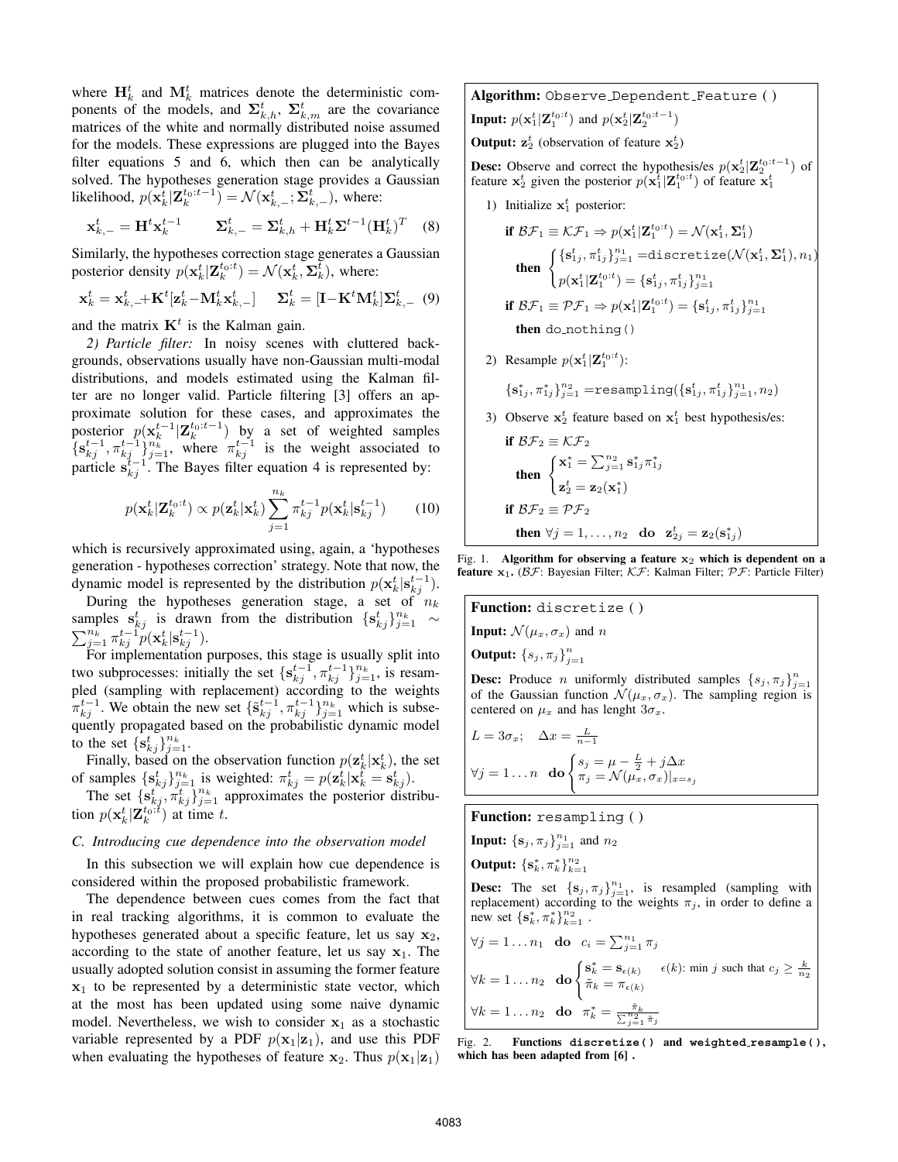where  $H_k^t$  and  $M_k^t$  matrices denote the deterministic components of the models, and  $\Sigma_{k,h}^t$ ,  $\Sigma_{k,m}^t$  are the covariance matrices of the white and normally distributed noise assumed for the models. These expressions are plugged into the Bayes filter equations 5 and 6, which then can be analytically solved. The hypotheses generation stage provides a Gaussian likelihood,  $p(\mathbf{x}_k^t | \mathbf{Z}_k^{t_0:t-1}) = \mathcal{N}(\mathbf{x}_{k,-}^t; \mathbf{\Sigma}_{k,-}^t)$ , where:

$$
\mathbf{x}_{k,-}^t = \mathbf{H}^t \mathbf{x}_k^{t-1} \qquad \mathbf{\Sigma}_{k,-}^t = \mathbf{\Sigma}_{k,h}^t + \mathbf{H}_k^t \mathbf{\Sigma}^{t-1} (\mathbf{H}_k^t)^T \quad (8)
$$

Similarly, the hypotheses correction stage generates a Gaussian posterior density  $p(\mathbf{x}_k^t | \mathbf{Z}_k^{t_0:t}) = \mathcal{N}(\mathbf{x}_k^t, \mathbf{\Sigma}_k^t)$ , where:

$$
\mathbf{x}_{k}^{t} = \mathbf{x}_{k,+}^{t} + \mathbf{K}^{t}[\mathbf{z}_{k}^{t} - \mathbf{M}_{k}^{t} \mathbf{x}_{k,-}^{t}] \quad \Sigma_{k}^{t} = [\mathbf{I} - \mathbf{K}^{t} \mathbf{M}_{k}^{t}] \Sigma_{k,-}^{t} \tag{9}
$$

and the matrix  $K<sup>t</sup>$  is the Kalman gain.

*2) Particle filter:* In noisy scenes with cluttered backgrounds, observations usually have non-Gaussian multi-modal distributions, and models estimated using the Kalman filter are no longer valid. Particle filtering [3] offers an approximate solution for these cases, and approximates the posterior  $p(\mathbf{x}_k^{t-1}|\mathbf{Z}_k^{t_0:t-1})$  by a set of weighted samples  $\{\mathbf{s}_{kj}^{t-1}, \pi_{kj}^{t-1}\}_{j=1}^{n_k}$ , where  $\pi_{kj}^{t-1}$  is the weight associated to particle  $s_{kj}^{i-1}$ . The Bayes filter equation 4 is represented by:

$$
p(\mathbf{x}_{k}^{t}|\mathbf{Z}_{k}^{t_{0}:t}) \propto p(\mathbf{z}_{k}^{t}|\mathbf{x}_{k}^{t}) \sum_{j=1}^{n_{k}} \pi_{kj}^{t-1} p(\mathbf{x}_{k}^{t}|\mathbf{s}_{kj}^{t-1})
$$
 (10)

which is recursively approximated using, again, a 'hypotheses generation - hypotheses correction' strategy. Note that now, the dynamic model is represented by the distribution  $p(\mathbf{x}_k^t | \mathbf{s}_{kj}^{t-1})$ .

During the hypotheses generation stage, a set of  $n_k$ samples  $\mathbf{s}_{kj}^t$  is drawn from the distribution  $\{\mathbf{s}_{kj}^t\}_{j=1}^{n_k}$ samples  $\mathbf{s}_{kj}$  is drawn from the distribution  $\{ \mathbf{s}_{kj} \}_{j=1}^{\infty} \sim \sum_{j=1}^{n_k} \pi_{kj}^{t-1} p(\mathbf{x}_k^t | \mathbf{s}_{kj}^{t-1}).$ 

For implementation purposes, this stage is usually split into two subprocesses: initially the set  $\{s_{kj}^{t-1}, \pi_{kj}^{t-1}\}_{j=1}^{n_k}$ , is resampled (sampling with replacement) according to the weights  $\pi_{kj}^{t-1}$ . We obtain the new set  $\{\tilde{\mathbf{s}}_{kj}^{t-1}, \pi_{kj}^{t-1}\}_{j=1}^{n_k}$  which is subsequently propagated based on the probabilistic dynamic model to the set  $\{\mathbf s_{kj}^t\}_{j=1}^{n_k}$ .

Finally, based on the observation function  $p(\mathbf{z}_k^t | \mathbf{x}_k^t)$ , the set of samples  $\{s_{kj}^t\}_{j=1}^{n_k}$  is weighted:  $\pi_{kj}^t = p(\mathbf{z}_k^t | \mathbf{x}_k^t = \mathbf{s}_{kj}^t)$ .

The set  $\{s_{kj}^{t}$ ,  $\pi_{kj}^{t}\}_{j=1}^{n_k}$  approximates the posterior distribution  $p(\mathbf{x}_k^t | \mathbf{Z}_k^{t_0:t})$  at time t.

# *C. Introducing cue dependence into the observation model*

In this subsection we will explain how cue dependence is considered within the proposed probabilistic framework.

The dependence between cues comes from the fact that in real tracking algorithms, it is common to evaluate the hypotheses generated about a specific feature, let us say  $\mathbf{x}_2$ , according to the state of another feature, let us say  $x_1$ . The usually adopted solution consist in assuming the former feature **x**<sup>1</sup> to be represented by a deterministic state vector, which at the most has been updated using some naive dynamic model. Nevertheless, we wish to consider  $x_1$  as a stochastic variable represented by a PDF  $p(\mathbf{x}_1|\mathbf{z}_1)$ , and use this PDF when evaluating the hypotheses of feature  $\mathbf{x}_2$ . Thus  $p(\mathbf{x}_1|\mathbf{z}_1)$ 

**Algorithm:** Observe Dependent Feature ( ) **Input:**  $p(\mathbf{x}_1^t | \mathbf{Z}_1^{t_0:t})$  and  $p(\mathbf{x}_2^t | \mathbf{Z}_2^{t_0:t-1})$ **Output:**  $z_2^t$  (observation of feature  $x_2^t$ )

**Desc:** Observe and correct the hypothesis/es  $p(\mathbf{x}_2^t | \mathbf{Z}_2^{t_0:t-1})$  of feature  $\mathbf{x}_2^t$  given the posterior  $p(\mathbf{x}_1^t | \mathbf{Z}_1^{t_0:t})$  of feature  $\mathbf{x}_1^t$ 

1) Initialize  $x_1^t$  posterior:

\n
$$
\text{if } \mathcal{BF}_1 \equiv \mathcal{KF}_1 \Rightarrow p(\mathbf{x}_1^t | \mathbf{Z}_1^{t_0:t}) = \mathcal{N}(\mathbf{x}_1^t, \mathbf{\Sigma}_1^t)
$$
\n

\n\n
$$
\text{then } \begin{cases}\n\{\mathbf{s}_{1j}^t, \pi_{1j}^t\}_{j=1}^n = \text{discretize}(\mathcal{N}(\mathbf{x}_1^t, \mathbf{\Sigma}_1^t), n_1) \\
p(\mathbf{x}_1^t | \mathbf{Z}_1^{t_0:t}) = \{\mathbf{s}_{1j}^t, \pi_{1j}^t\}_{j=1}^{n_1}\n \end{cases}
$$
\n

\n\n
$$
\text{if } \mathcal{BF}_1 \equiv \mathcal{PF}_1 \Rightarrow p(\mathbf{x}_1^t | \mathbf{Z}_1^{t_0:t}) = \{\mathbf{s}_{1j}^t, \pi_{1j}^t\}_{j=1}^{n_1}\n \end{cases}
$$
\n

\n\n
$$
\text{then do not thing }()
$$
\n

2) Resample  $p(\mathbf{x}_1^t | \mathbf{Z}_1^{t_0:t})$ :

$$
\{\mathbf s^*_{1j}, \pi^*_{1j}\}_{j=1}^{n_2} = \text{resampling}(\{\mathbf s^t_{1j}, \pi^t_{1j}\}_{j=1}^{n_1}, n_2)
$$

3) Observe  $x_2^t$  feature based on  $x_1^t$  best hypothesis/es:

\n
$$
\text{if } \mathcal{BF}_2 \equiv \mathcal{KF}_2
$$
\n

\n\n
$$
\text{then } \begin{cases}\n \mathbf{x}_1^* = \sum_{j=1}^{n_2} \mathbf{s}_{1j}^* \pi_{1j}^* \\
 \mathbf{z}_2^t = \mathbf{z}_2(\mathbf{x}_1^*)\n \end{cases}
$$
\n

\n\n
$$
\text{if } \mathcal{BF}_2 \equiv \mathcal{PF}_2
$$
\n

\n\n
$$
\text{then } \forall j = 1, \ldots, n_2 \text{ do } \mathbf{z}_{2j}^t = \mathbf{z}_2(\mathbf{s}_{1j}^*)
$$
\n

Fig. 1. **Algorithm for observing a feature x**<sup>2</sup> **which is dependent on a feature**  $x_1$ . ( $\beta \mathcal{F}$ : Bayesian Filter;  $\beta \mathcal{F}$ : Kalman Filter;  $\beta \mathcal{F}$ : Particle Filter)

**Function:** discretize ( ) **Input:**  $\mathcal{N}(\mu_x, \sigma_x)$  and *n* **Output:**  ${s_j, \pi_j}_{j=1}^n$ **Desc:** Produce *n* uniformly distributed samples  $\{s_j, \pi_j\}_{j=1}^n$ of the Gaussian function  $\mathcal{N}(\mu_x, \sigma_x)$ . The sampling region is centered on  $\mu_x$  and has lenght  $3\sigma_x$ .

$$
L = 3\sigma_x; \quad \Delta x = \frac{L}{n-1}
$$

$$
\forall j = 1...n \quad \text{do } \begin{cases} s_j = \mu - \frac{L}{2} + j\Delta x \\ \pi_j = \mathcal{N}(\mu_x, \sigma_x)|_{x=s_j} \end{cases}
$$

**Function:** resampling ( )

**Input:**  ${s_j, \pi_j}_{j=1}^{n_1}$  and  $n_2$ 

**Output:**  ${s_k^*, \pi_k^*}^{n_2}_{k=1}$ 

**Desc:** The set  $\{s_j, \pi_j\}_{j=1}^{n_1}$ , is resampled (sampling with replacement) according to the weights  $\pi_j$ , in order to define a new set  $\{s_k^*, \pi_k^*\}_{k=1}^{n_2}$ .

$$
\forall j = 1 \dots n_1 \text{ do } c_i = \sum_{j=1}^{n_1} \pi_j
$$
  

$$
\forall k = 1 \dots n_2 \text{ do } \begin{cases} \mathbf{s}_k^* = \mathbf{s}_{\epsilon(k)} & \epsilon(k) : \text{min } j \text{ such that } c_j \ge \frac{k}{n_2} \\ \tilde{\pi}_k = \pi_{\epsilon(k)} \end{cases}
$$
  

$$
\forall k = 1 \dots n_2 \text{ do } \pi_k^* = \frac{\tilde{\pi}_k}{\sum_{j=1}^{n_2} \tilde{\pi}_j}
$$

Fig. 2. **Functions discretize( ) and weighted resample( ), which has been adapted from [6] .**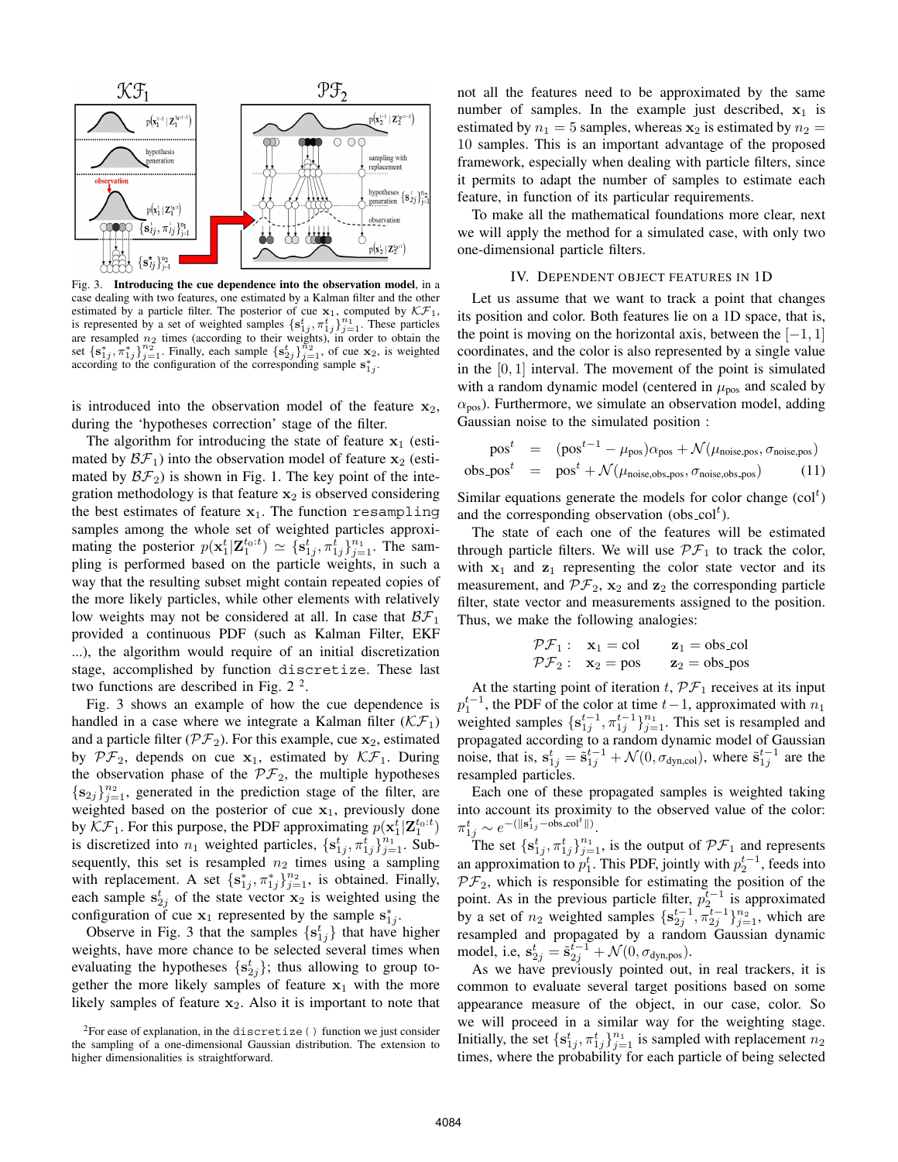

Fig. 3. **Introducing the cue dependence into the observation model**, in a case dealing with two features, one estimated by a Kalman filter and the other estimated by a particle filter. The posterior of cue  $\mathbf{x}_1$ , computed by  $\mathcal{KF}_1$ , is represented by a set of weighted samples  $\{\mathbf{s}_{1j}^t, \pi_{1j}^t\}_{j=1}^{n_1}$ . These particles are resampled  $n_2$  times (according to set  $\{s_{1j}^*, \pi_{1j}^*\}_{j=1}^{n_2}$ . Finally, each sample  $\{s_{2j}^*\}_{j=1}^{n_2}$ , of cue **x**<sub>2</sub>, is weighted according to the configuration of the corresponding sample  $s_{1j}^*$ .

is introduced into the observation model of the feature  $\mathbf{x}_2$ , during the 'hypotheses correction' stage of the filter.

The algorithm for introducing the state of feature  $x_1$  (estimated by  $\mathcal{BF}_1$ ) into the observation model of feature **x**<sub>2</sub> (estimated by  $\mathcal{BF}_2$ ) is shown in Fig. 1. The key point of the integration methodology is that feature  $x_2$  is observed considering the best estimates of feature  $x_1$ . The function resampling samples among the whole set of weighted particles approximating the posterior  $p(\mathbf{x}_1^t | \mathbf{Z}_1^{t_0:t}) \simeq {\mathbf{s}_{1j}^t, \pi_{1j}^t}_{j=1}^{n_1}$ . The sampling is performed based on the particle weights, in such a way that the resulting subset might contain repeated copies of the more likely particles, while other elements with relatively low weights may not be considered at all. In case that  $\mathcal{BF}_1$ provided a continuous PDF (such as Kalman Filter, EKF ...), the algorithm would require of an initial discretization stage, accomplished by function discretize. These last two functions are described in Fig.  $2<sup>2</sup>$ .

Fig. 3 shows an example of how the cue dependence is handled in a case where we integrate a Kalman filter  $(KF_1)$ and a particle filter  $(\mathcal{PF}_2)$ . For this example, cue  $\mathbf{x}_2$ , estimated by  $\mathcal{PF}_2$ , depends on cue **x**<sub>1</sub>, estimated by  $\mathcal{KF}_1$ . During the observation phase of the  $\mathcal{PF}_2$ , the multiple hypotheses  ${s_{2j}}_{j=1}^{n_2}$ , generated in the prediction stage of the filter, are weighted based on the posterior of cue  $x_1$ , previously done by  $\mathcal{KF}_1$ . For this purpose, the PDF approximating  $p(\mathbf{x}_1^t | \mathbf{Z}_1^{t_0:t})$ is discretized into  $n_1$  weighted particles,  $\{s_{1j}^t, \pi_{1j}^t\}_{j=1}^{n_1}$ . Subsequently, this set is resampled  $n_2$  times using a sampling with replacement. A set  $\{s_{1j}^*, \pi_{1j}^*\}_{j=1}^{n_2}$ , is obtained. Finally, each sample  $s_{2j}^t$  of the state vector  $\mathbf{x}_2$  is weighted using the configuration of cue  $x_1$  represented by the sample  $s_{1j}^*$ .

Observe in Fig. 3 that the samples  $\{s_{1j}^t\}$  that have higher weights, have more chance to be selected several times when evaluating the hypotheses  $\{s_{2j}^t\}$ ; thus allowing to group together the more likely samples of feature  $x_1$  with the more likely samples of feature  $x_2$ . Also it is important to note that not all the features need to be approximated by the same number of samples. In the example just described,  $x_1$  is estimated by  $n_1 = 5$  samples, whereas  $\mathbf{x}_2$  is estimated by  $n_2 =$ 10 samples. This is an important advantage of the proposed framework, especially when dealing with particle filters, since it permits to adapt the number of samples to estimate each feature, in function of its particular requirements.

To make all the mathematical foundations more clear, next we will apply the method for a simulated case, with only two one-dimensional particle filters.

# IV. DEPENDENT OBJECT FEATURES IN 1D

Let us assume that we want to track a point that changes its position and color. Both features lie on a 1D space, that is, the point is moving on the horizontal axis, between the  $[-1, 1]$ coordinates, and the color is also represented by a single value in the  $[0, 1]$  interval. The movement of the point is simulated with a random dynamic model (centered in  $\mu_{\text{pos}}$  and scaled by  $\alpha_{\text{pos}}$ ). Furthermore, we simulate an observation model, adding Gaussian noise to the simulated position :

$$
post = (post-1 - \mu_{pos})\alpha_{pos} + \mathcal{N}(\mu_{noise, pos}, \sigma_{noise, pos})
$$
  
obs.pops<sup>t</sup> = pos<sup>t</sup> + \mathcal{N}(\mu\_{noise, obs, pos}, \sigma\_{noise, obs, pos}) (11)

Similar equations generate the models for color change  $(col<sup>t</sup>)$ and the corresponding observation (obs\_col<sup>t</sup>).

The state of each one of the features will be estimated through particle filters. We will use  $\mathcal{PF}_1$  to track the color, with  $x_1$  and  $z_1$  representing the color state vector and its measurement, and  $\mathcal{PF}_2$ ,  $\mathbf{x}_2$  and  $\mathbf{z}_2$  the corresponding particle filter, state vector and measurements assigned to the position. Thus, we make the following analogies:

$$
\begin{array}{ll}\n\mathcal{P}\mathcal{F}_1: & \mathbf{x}_1 = \text{col} & \mathbf{z}_1 = \text{obs}\_\text{col} \\
\mathcal{P}\mathcal{F}_2: & \mathbf{x}_2 = \text{pos} & \mathbf{z}_2 = \text{obs}\_\text{pos}\n\end{array}
$$

At the starting point of iteration  $t$ ,  $\mathcal{PF}_1$  receives at its input  $p_1^{t-1}$ , the PDF of the color at time  $t-1$ , approximated with  $n_1$ weighted samples  $\{s_{1j}^{t-1}, \pi_{1j}^{t-1}\}_{j=1}^{n_1}$ . This set is resampled and propagated according to a random dynamic model of Gaussian noise, that is,  $\mathbf{s}_{1j}^t = \tilde{\mathbf{s}}_{1j}^{t-1} + \mathcal{N}(0, \sigma_{\text{dyn,col}})$ , where  $\tilde{\mathbf{s}}_{1j}^{t-1}$  are the resampled particles.

Each one of these propagated samples is weighted taking into account its proximity to the observed value of the color:  $\pi_{1j}^t \sim e^{-\left(\|\mathbf{s}_{1j}^t - \hat{\mathrm{obs}}\_\mathrm{col}^t\|\right)}.$ 

The set  $\{s_{1j}^t, \pi_{1j}^t\}_{j=1}^{n_1}$ , is the output of  $\mathcal{PF}_1$  and represents an approximation to  $p_1^t$ . This PDF, jointly with  $p_2^{t-1}$ , feeds into  $\mathcal{PF}_2$ , which is responsible for estimating the position of the point. As in the previous particle filter,  $p_2^{t-1}$  is approximated by a set of  $n_2$  weighted samples  $\{s_{2j}^{t-1}, \pi_{2j}^{t-1}\}_{j=1}^{n_2}$ , which are resampled and propagated by a random Gaussian dynamic model, i.e,  $s_{2j}^t = \tilde{s}_{2j}^{t-1} + \mathcal{N}(0, \sigma_{dyn, pos}).$ 

As we have previously pointed out, in real trackers, it is common to evaluate several target positions based on some appearance measure of the object, in our case, color. So we will proceed in a similar way for the weighting stage. Initially, the set  $\{s_{1j}^t, \pi_{1j}^t\}_{j=1}^{n_1}$  is sampled with replacement  $n_2$ times, where the probability for each particle of being selected

<sup>&</sup>lt;sup>2</sup>For ease of explanation, in the discretize () function we just consider the sampling of a one-dimensional Gaussian distribution. The extension to higher dimensionalities is straightforward.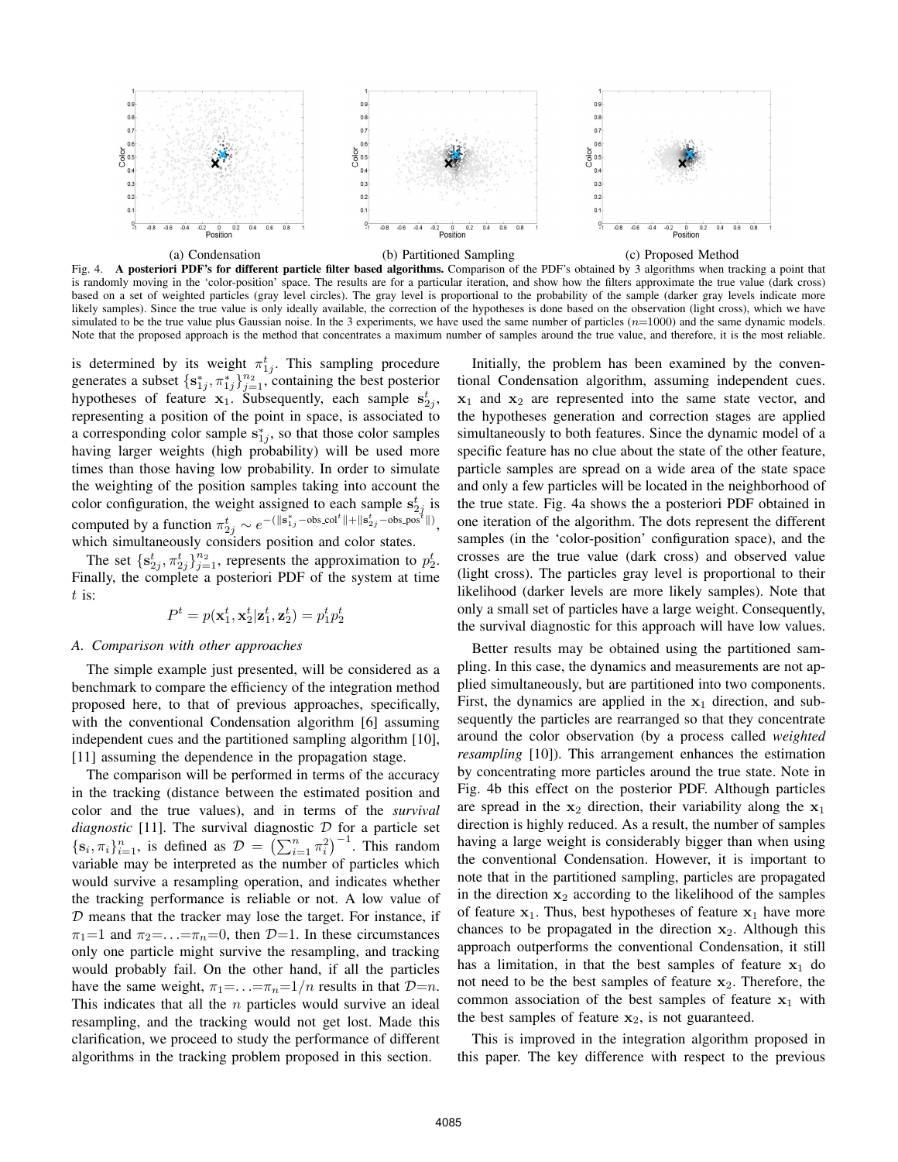

Fig. 4. **A posteriori PDF's for different particle filter based algorithms.** Comparison of the PDF's obtained by 3 algorithms when tracking a point that is randomly moving in the 'color-position' space. The results are for a particular iteration, and show how the filters approximate the true value (dark cross) based on a set of weighted particles (gray level circles). The gray level is proportional to the probability of the sample (darker gray levels indicate more likely samples). Since the true value is only ideally available, the correction of the hypotheses is done based on the observation (light cross), which we have simulated to be the true value plus Gaussian noise. In the 3 experiments, we have used the same number of particles  $(n=1000)$  and the same dynamic models. Note that the proposed approach is the method that concentrates a maximum number of samples around the true value, and therefore, it is the most reliable.

is determined by its weight  $\pi_{1j}^t$ . This sampling procedure generates a subset  $\{s_{1j}^*, \pi_{1j}^*\}_{j=1}^{n_2}$ , containing the best posterior hypotheses of feature  $x_1$ . Subsequently, each sample  $s_{2j}^t$ , representing a position of the point in space, is associated to a corresponding color sample  $s_{1j}^*$ , so that those color samples having larger weights (high probability) will be used more times than those having low probability. In order to simulate the weighting of the position samples taking into account the color configuration, the weight assigned to each sample  $s_{2j}^t$  is computed by a function  $\pi_{2j}^t \sim e^{-(\|\mathbf{s}_{1j}^s - \mathrm{obs}\cdot\mathrm{col}^t\| + \|\mathbf{s}_{2j}^t - \mathrm{obs}\cdot\mathrm{pos}^t\|)}$ , which simultaneously considers position and color states.

The set  $\{s_{2j}^t, \pi_{2j}^t\}_{j=1}^{n_2}$ , represents the approximation to  $p_2^t$ . Finally, the complete a posteriori PDF of the system at time  $t$  is:

$$
P^t = p(\mathbf{x}_1^t, \mathbf{x}_2^t | \mathbf{z}_1^t, \mathbf{z}_2^t) = p_1^t p_2^t
$$

## *A. Comparison with other approaches*

The simple example just presented, will be considered as a benchmark to compare the efficiency of the integration method proposed here, to that of previous approaches, specifically, with the conventional Condensation algorithm [6] assuming independent cues and the partitioned sampling algorithm [10], [11] assuming the dependence in the propagation stage.

The comparison will be performed in terms of the accuracy in the tracking (distance between the estimated position and color and the true values), and in terms of the *survival diagnostic* [11]. The survival diagnostic  $D$  for a particle set  $\{\mathbf s_i, \pi_i\}_{i=1}^n$ , is defined as  $\mathcal{D} = \left(\sum_{i=1}^n \pi_i^2\right)^{-1}$ . This random variable may be interpreted as the number of particles which would survive a resampling operation, and indicates whether the tracking performance is reliable or not. A low value of  $D$  means that the tracker may lose the target. For instance, if  $\pi_1=1$  and  $\pi_2=\ldots=\pi_n=0$ , then  $\mathcal{D}=1$ . In these circumstances only one particle might survive the resampling, and tracking would probably fail. On the other hand, if all the particles have the same weight,  $\pi_1 = \ldots = \pi_n = 1/n$  results in that  $D=n$ . This indicates that all the  $n$  particles would survive an ideal resampling, and the tracking would not get lost. Made this clarification, we proceed to study the performance of different algorithms in the tracking problem proposed in this section.

Initially, the problem has been examined by the conventional Condensation algorithm, assuming independent cues. **x**<sup>1</sup> and **x**<sup>2</sup> are represented into the same state vector, and the hypotheses generation and correction stages are applied simultaneously to both features. Since the dynamic model of a specific feature has no clue about the state of the other feature, particle samples are spread on a wide area of the state space and only a few particles will be located in the neighborhood of the true state. Fig. 4a shows the a posteriori PDF obtained in one iteration of the algorithm. The dots represent the different samples (in the 'color-position' configuration space), and the crosses are the true value (dark cross) and observed value (light cross). The particles gray level is proportional to their likelihood (darker levels are more likely samples). Note that only a small set of particles have a large weight. Consequently, the survival diagnostic for this approach will have low values.

Better results may be obtained using the partitioned sampling. In this case, the dynamics and measurements are not applied simultaneously, but are partitioned into two components. First, the dynamics are applied in the  $x_1$  direction, and subsequently the particles are rearranged so that they concentrate around the color observation (by a process called *weighted resampling* [10]). This arrangement enhances the estimation by concentrating more particles around the true state. Note in Fig. 4b this effect on the posterior PDF. Although particles are spread in the  $x_2$  direction, their variability along the  $x_1$ direction is highly reduced. As a result, the number of samples having a large weight is considerably bigger than when using the conventional Condensation. However, it is important to note that in the partitioned sampling, particles are propagated in the direction  $x_2$  according to the likelihood of the samples of feature  $x_1$ . Thus, best hypotheses of feature  $x_1$  have more chances to be propagated in the direction  $x_2$ . Although this approach outperforms the conventional Condensation, it still has a limitation, in that the best samples of feature  $x_1$  do not need to be the best samples of feature  $x_2$ . Therefore, the common association of the best samples of feature  $x_1$  with the best samples of feature  $x_2$ , is not guaranteed.

This is improved in the integration algorithm proposed in this paper. The key difference with respect to the previous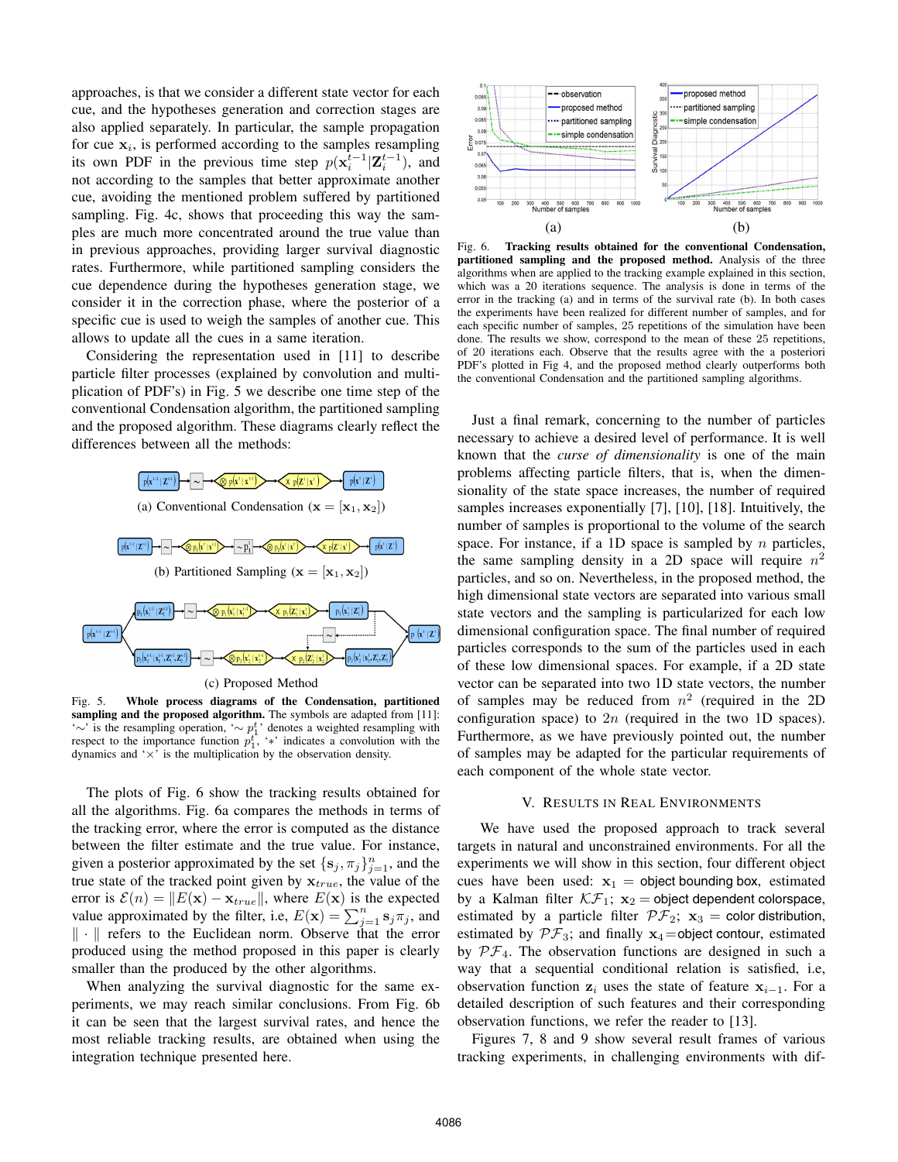approaches, is that we consider a different state vector for each cue, and the hypotheses generation and correction stages are also applied separately. In particular, the sample propagation for cue  $x_i$ , is performed according to the samples resampling its own PDF in the previous time step  $p(\mathbf{x}_i^{t-1}|\mathbf{Z}_i^{t-1})$ , and not according to the samples that better approximate another cue, avoiding the mentioned problem suffered by partitioned sampling. Fig. 4c, shows that proceeding this way the samples are much more concentrated around the true value than in previous approaches, providing larger survival diagnostic rates. Furthermore, while partitioned sampling considers the cue dependence during the hypotheses generation stage, we consider it in the correction phase, where the posterior of a specific cue is used to weigh the samples of another cue. This allows to update all the cues in a same iteration.

Considering the representation used in [11] to describe particle filter processes (explained by convolution and multiplication of PDF's) in Fig. 5 we describe one time step of the conventional Condensation algorithm, the partitioned sampling and the proposed algorithm. These diagrams clearly reflect the differences between all the methods:



(c) Proposed Method

Fig. 5. **Whole process diagrams of the Condensation, partitioned sampling and the proposed algorithm.** The symbols are adapted from [11]: '∼' is the resampling operation, '∼  $p_1^t$ ' denotes a weighted resampling with respect to the importance function  $p_1^t$ , '\*' indicates a convolution with the dynamics and  $\forall$  is the multiplication by the observation density.

The plots of Fig. 6 show the tracking results obtained for all the algorithms. Fig. 6a compares the methods in terms of the tracking error, where the error is computed as the distance between the filter estimate and the true value. For instance, given a posterior approximated by the set  $\{s_j, \pi_j\}_{j=1}^n$ , and the true state of the tracked point given by  $x_{true}$ , the value of the error is  $\mathcal{E}(n) = ||E(\mathbf{x}) - \mathbf{x}_{true}||$ , where  $E(\mathbf{x})$  is the expected value approximated by the filter, i.e,  $E(\mathbf{x}) = \sum_{j=1}^{n} \mathbf{s}_j \pi_j$ , and  $\|\cdot\|$  refers to the Euclidean norm. Observe that the error produced using the method proposed in this paper is clearly smaller than the produced by the other algorithms.

When analyzing the survival diagnostic for the same experiments, we may reach similar conclusions. From Fig. 6b it can be seen that the largest survival rates, and hence the most reliable tracking results, are obtained when using the integration technique presented here.



Fig. 6. **Tracking results obtained for the conventional Condensation, partitioned sampling and the proposed method.** Analysis of the three algorithms when are applied to the tracking example explained in this section, which was a 20 iterations sequence. The analysis is done in terms of the error in the tracking (a) and in terms of the survival rate (b). In both cases the experiments have been realized for different number of samples, and for each specific number of samples, 25 repetitions of the simulation have been done. The results we show, correspond to the mean of these 25 repetitions, of 20 iterations each. Observe that the results agree with the a posteriori PDF's plotted in Fig 4, and the proposed method clearly outperforms both the conventional Condensation and the partitioned sampling algorithms.

Just a final remark, concerning to the number of particles necessary to achieve a desired level of performance. It is well known that the *curse of dimensionality* is one of the main problems affecting particle filters, that is, when the dimensionality of the state space increases, the number of required samples increases exponentially [7], [10], [18]. Intuitively, the number of samples is proportional to the volume of the search space. For instance, if a 1D space is sampled by  $n$  particles, the same sampling density in a 2D space will require  $n^2$ particles, and so on. Nevertheless, in the proposed method, the high dimensional state vectors are separated into various small state vectors and the sampling is particularized for each low dimensional configuration space. The final number of required particles corresponds to the sum of the particles used in each of these low dimensional spaces. For example, if a 2D state vector can be separated into two 1D state vectors, the number of samples may be reduced from  $n^2$  (required in the 2D configuration space) to  $2n$  (required in the two 1D spaces). Furthermore, as we have previously pointed out, the number of samples may be adapted for the particular requirements of each component of the whole state vector.

## V. RESULTS IN REAL ENVIRONMENTS

We have used the proposed approach to track several targets in natural and unconstrained environments. For all the experiments we will show in this section, four different object cues have been used:  $x_1 =$  object bounding box, estimated by a Kalman filter  $\mathcal{KF}_1$ ;  $\mathbf{x}_2$  = object dependent colorspace, estimated by a particle filter  $\mathcal{PF}_2$ ;  $\mathbf{x}_3$  = color distribution, estimated by  $\mathcal{PF}_3$ ; and finally  $\mathbf{x}_4$ =object contour, estimated by  $\mathcal{PF}_4$ . The observation functions are designed in such a way that a sequential conditional relation is satisfied, i.e, observation function  $z_i$  uses the state of feature  $x_{i-1}$ . For a detailed description of such features and their corresponding observation functions, we refer the reader to [13].

Figures 7, 8 and 9 show several result frames of various tracking experiments, in challenging environments with dif-